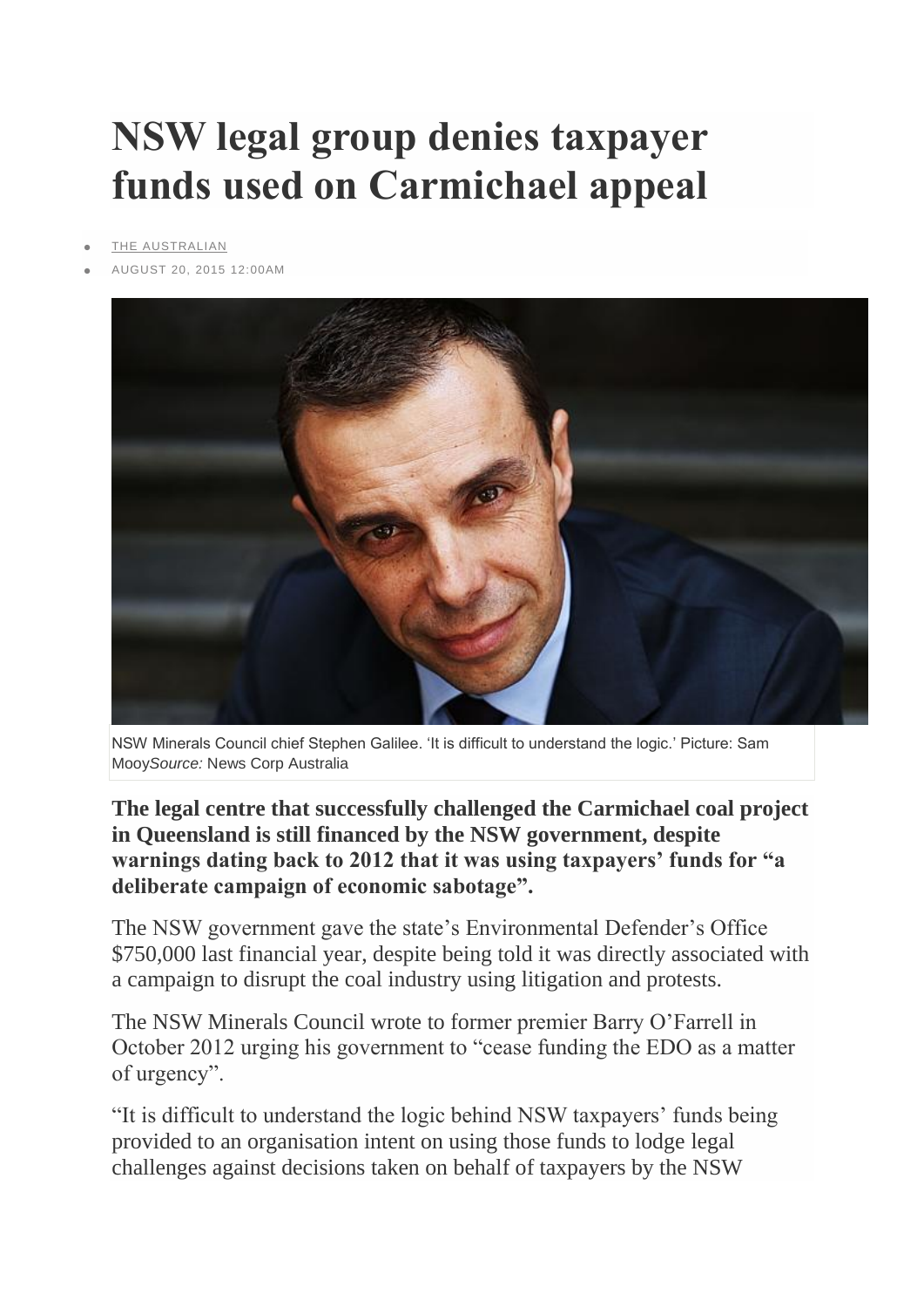## **NSW legal group denies taxpayer funds used on Carmichael appeal**

- [THE AUSTRALIAN](http://www.theaustralian.com.au/)
- AUGUST 20, 2015 12:00AM



NSW Minerals Council chief Stephen Galilee. 'It is difficult to understand the logic.' Picture: Sam Mooy*Source:* News Corp Australia

**The legal centre that successfully challenged the Carmichael coal project in Queensland is still financed by the NSW government, despite warnings dating back to 2012 that it was using taxpayers' funds for "a deliberate campaign of economic sabotage".**

The NSW government gave the state's Environmental Defender's Office \$750,000 last financial year, despite being told it was directly associated with a campaign to disrupt the coal industry using litigation and protests.

The NSW Minerals Council wrote to former premier Barry O'Farrell in October 2012 urging his government to "cease funding the EDO as a matter of urgency".

"It is difficult to understand the logic behind NSW taxpayers' funds being provided to an organisation intent on using those funds to lodge legal challenges against decisions taken on behalf of taxpayers by the NSW